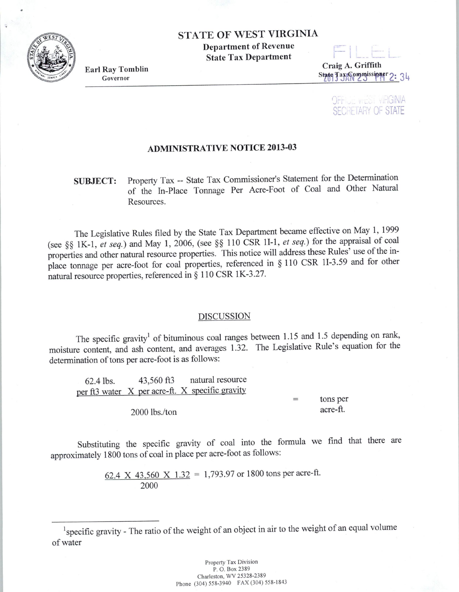STATE OF WEST VIRGINIA

Department of Revenue State Tax Department

Earl Ray Tomblin Governor

Craig A. Griffith State Tax Commissioner 2: 34

> **OFFICE WEST VIRGINIA SECRETARY OF STATE**

## ADMINISTRATIVE NOTICE 2013-03

## SUBJECT: Property Tax -- State Tax Commissioner's Statement for the Determination of the In-Place Tonnage Per Acre-Foot of Coal and Other Natural Resources.

The Legislative Rules filed by the State Tax Department became effective on May 1, 1999 (see §§ lK-1 , *et seq.)* and May 1, 2006, (see §§ 110 CSR ll-1, *et seq.)* for the appraisal of coal properties and other natural resource properties. This notice will address these Rules' use of the inplace tonnage per acre-foot for coal properties, referenced in § 110 CSR ll-3.59 and for other natural resource properties, referenced in§ 110 CSR lK-3.27.

## DISCUSSION

The specific gravity<sup>1</sup> of bituminous coal ranges between 1.15 and 1.5 depending on rank, moisture content, and ash content, and averages 1.32. The Legislative Rule's equation for the determination of tons per acre-foot is as follows:

62.4 lbs. 43,560 ft3 natural resource per ft3 water X per acre-ft. X specific gravity tons per

2000 lbs./ton

acre-ft.

Substituting the specific gravity of coal into the formula we find that there are approximately 1800 tons of coal in place per acre-foot as follows:

> 62.4 X 43,560 X 1.32 = 1,793.97 or 1800 tons per acre-ft. 2000



<sup>&</sup>lt;sup>1</sup> specific gravity - The ratio of the weight of an object in air to the weight of an equal volume of water